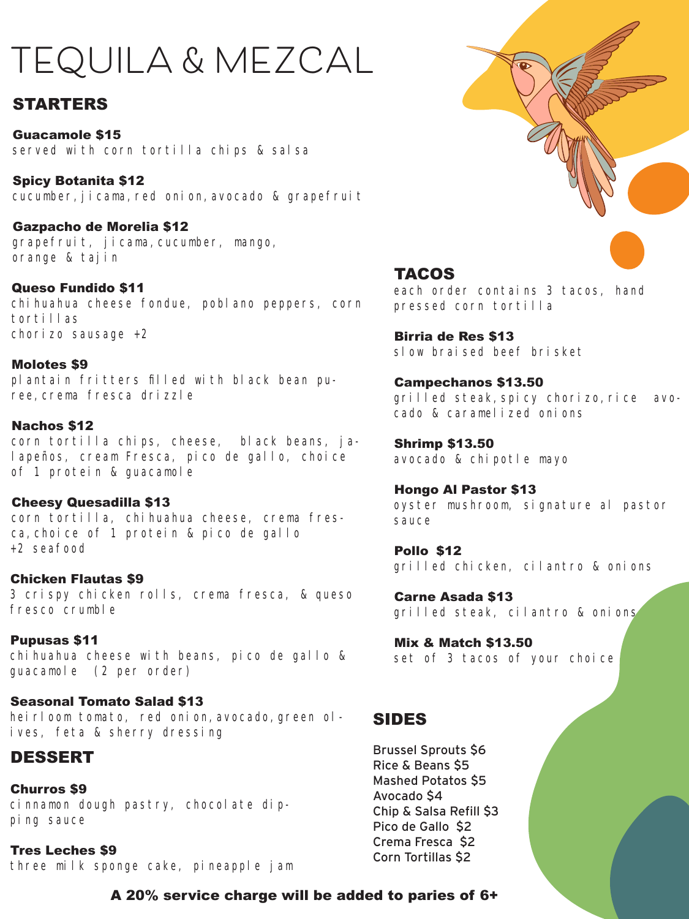# **TEQUILA & MEZCAL**

# STARTERS

Guacamole \$15 served with corn tortilla chips & salsa

Spicy Botanita \$12 cucumber, jicama, red onion, avocado & grapefruit

Gazpacho de Morelia \$12 grapefruit, jicama, cucumber, mango, orange & tajin

Queso Fundido \$11 chi huahua cheese fondue, poblano peppers, corn tortillas chorizo sausage +2

Molotes \$9 plantain fritters filled with black bean puree,crema fresca drizzle

#### Nachos \$12

corn tortilla chips, cheese, black beans, jalapeños, cream Fresca, pico de gallo, choice of 1 protein & guacamole

Cheesy Quesadilla \$13 corn tortilla, chihuahua cheese, crema fresca,choice of 1 protein & pico de gallo +2 seafood

Chicken Flautas \$9 3 crispy chicken rolls, crema fresca, & queso fresco crumble

Pupusas \$11 chihuahua cheese with beans, pico de gallo & guacamole (2 per order)

Seasonal Tomato Salad \$13 heirloom tomato, red onion, avocado, green olives, feta & sherry dressing

# DESSERT

Churros \$9 cinnamon dough pastry, chocolate dipping sauce

Tres Leches \$9 three milk sponge cake, pineapple jam



# TACOS

each order contains 3 tacos, hand pressed corn tortilla

Birria de Res \$13 slow braised beef brisket

Campechanos \$13.50 grilled steak, spicy chorizo, rice avocado & caramelized onions

Shrimp \$13.50 avocado & chipotle mayo

Hongo Al Pastor \$13 oyster mushroom, signature al pastor sauce

Pollo \$12 grilled chicken, cilantro & onions

Carne Asada \$13 grilled steak, cilantro & onions

Mix & Match \$13.50 set of 3 tacos of your choice

# SIDES

Brussel Sprouts \$6 Rice & Beans \$5 Mashed Potatos \$5 Avocado \$4 Chip & Salsa Refill \$3 Pico de Gallo \$2 Crema Fresca \$2 Corn Tortillas \$2

A 20% service charge will be added to paries of 6+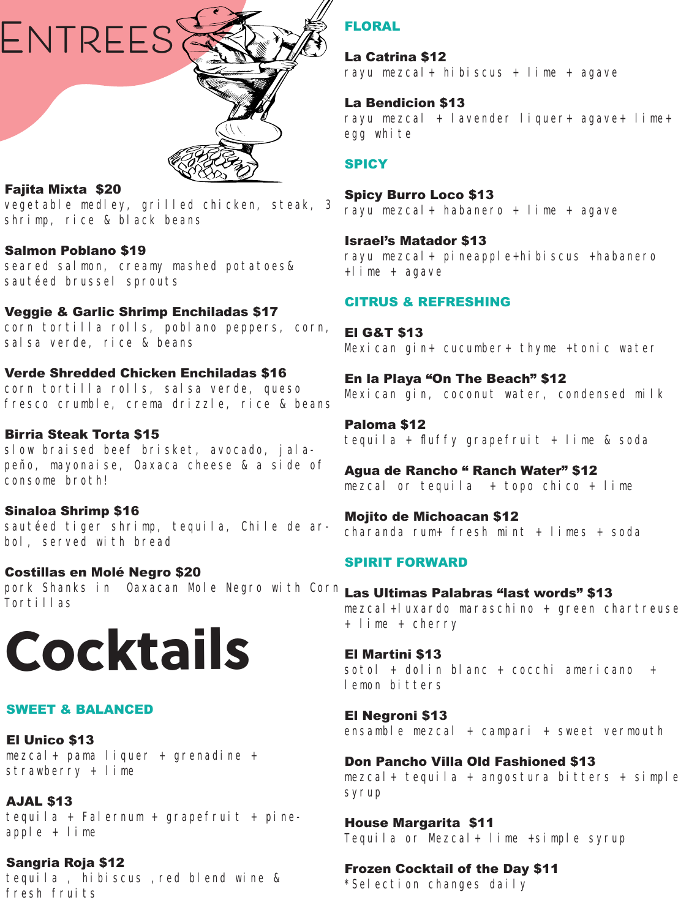

#### Fajita Mixta \$20

vegetable medley, grilled chicken, steak, 3 shrimp, rice & black beans

#### Salmon Poblano \$19

seared salmon, creamy mashed potatoes& sautéed brussel sprouts

#### Veggie & Garlic Shrimp Enchiladas \$17

corn tortilla rolls, poblano peppers, corn, salsa verde, rice & beans

#### Verde Shredded Chicken Enchiladas \$16

corn tortilla rolls, salsa verde, queso fresco crumble, crema drizzle, rice & beans

#### Birria Steak Torta \$15

slow braised beef brisket, avocado, jalapeño, mayonaise, Oaxaca cheese & a side of consome broth!

#### Sinaloa Shrimp \$16

sautéed tiger shrimp, tequila, Chile de arbol, served with bread

#### Costillas en Molé Negro \$20

pork Shanks in Oaxacan Mole Negro with Corn **<sub>Las</sub> Ultimas Palabras"last words"\$13** Tortillas



#### SWEET & BALANCED

El Unico \$13 mezcal+ pama liquer + grenadine + strawberry + lime

AJAL \$13

tequila + Falernum + grapefruit + pineapple + lime

Sangria Roja \$12 tequila, hibiscus, red blend wine & fresh fruits

# FLORAL

La Catrina \$12 rayu mezcal+ hibiscus + lime + agave

#### La Bendicion \$13

rayu mezcal + lavender liquer+ agave+ lime+ egg white

#### **SPICY**

# Spicy Burro Loco \$13

rayu mezcal+ habanero + lime + agave

Israel's Matador \$13 rayu mezcal+ pineapple+hibiscus +habanero +lime + agave

#### CITRUS & REFRESHING

El G&T \$13 Mexican gin+ cucumber+ thyme +tonic water

En la Playa "On The Beach" \$12 Mexican gin, coconut water, condensed milk

Paloma \$12 tequila + fluffy grapefruit + lime & soda

Agua de Rancho " Ranch Water" \$12 mezcal or tequila  $+$  topo chico  $+$  lime

Mojito de Michoacan \$12 charanda rum+ fresh mint + limes + soda

#### SPIRIT FORWARD

mezcal+luxardo maraschino + green chartreuse + lime + cherry

El Martini \$13 sotol + dolin blanc + cocchi americano + lemon bitters

El Negroni \$13 ensamble mezcal + campari + sweet vermouth

Don Pancho Villa Old Fashioned \$13 mezcal+ tequila + angostura bitters + simple syrup

House Margarita \$11 Tequila or Mezcal+ lime +simple syrup

#### Frozen Cocktail of the Day \$11

\*Selection changes daily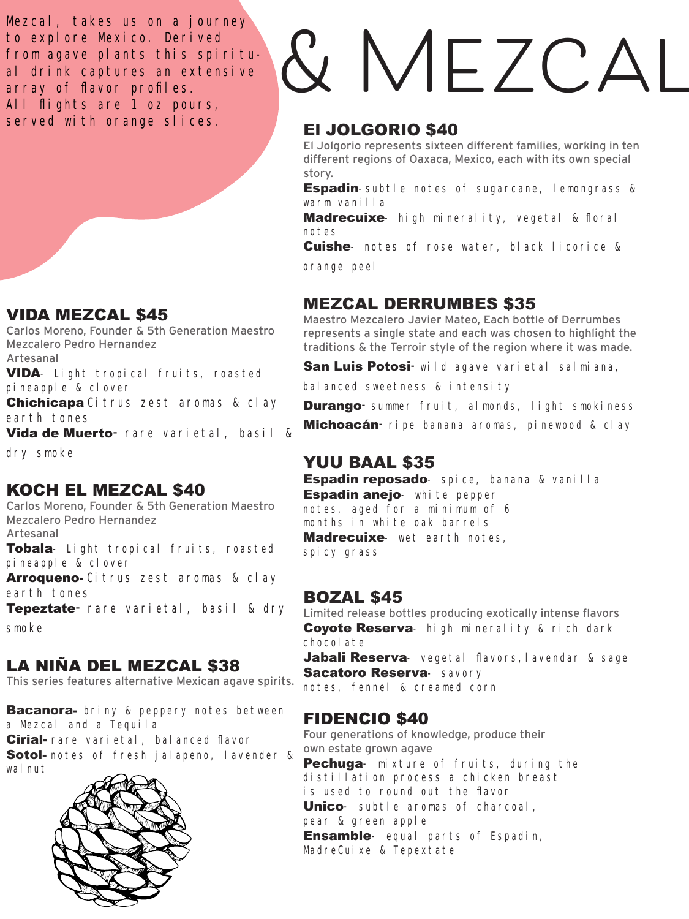Mezcal, takes us on a journey to explore Mexico. Derived from agave plants this spiritual drink captures an extensive array of flavor profiles. All flights are 1 oz pours, served with orange slices.

# VIDA MEZCAL \$45

Carlos Moreno, Founder & 5th Generation Maestro Mezcalero Pedro Hernandez Artesanal

VIDA- Light tropical fruits, roasted pineapple & clover

Chichicapa Citrus zest aromas & clay earth tones

Vida de Muerto- rare varietal, basil &

dry smoke

# KOCH EL MEZCAL \$40

Carlos Moreno, Founder & 5th Generation Maestro Mezcalero Pedro Hernandez Artesanal

Tobala- Light tropical fruits, roasted pineapple & clover

Arroqueno- Citrus zest aromas & clay earth tones

Tepeztate- rare varietal, basil & dry smoke

# LA NIÑA DEL MEZCAL \$38

This series features alternative Mexican agave spirits.

**Bacanora-** briny & peppery notes between a Mezcal and a Tequila

Cirial- rare varietal, balanced flavor **Sotol-** notes of fresh jalapeno, lavender & wal nut.



# **& Mezcal**

# El JOLGORIO \$40

El Jolgorio represents sixteen different families, working in ten different regions of Oaxaca, Mexico, each with its own special story.

**Espadin**-subtle notes of sugarcane, lemongrass & warm vanilla

**Madrecuixe**- high minerality, vegetal & floral notes

**Cuishe**- notes of rose water, black licorice &

orange peel

# MEZCAL DERRUMBES \$35

Maestro Mezcalero Javier Mateo, Each bottle of Derrumbes represents a single state and each was chosen to highlight the traditions & the Terroir style of the region where it was made.

San Luis Potosi-wild agave varietal salmiana,

balanced sweetness & intensity

**Durango**-summer fruit, almonds, light smokiness **Michoacán**-ripe banana aromas, pinewood & clay

# YUU BAAL \$35

Espadin reposado- spice, banana & vanilla **Espadin anejo**- white pepper notes, aged for a minimum of 6 months in white oak barrels **Madrecuixe**- wet earth notes. spicy grass

# BOZAL \$45

Limited release bottles producing exotically intense flavors **Coyote Reserva**- high minerality & rich dark chocolate

Jabali Reserva- vegetal flavors, lavendar & sage Sacatoro Reserva- savory notes, fennel & creamed corn

# FIDENCIO \$40

Four generations of knowledge, produce their own estate grown agave Pechuga- mixture of fruits, during the

distillation process a chicken breast is used to round out the flavor Unico- subtle aromas of charcoal, pear & green apple

**Ensamble**- equal parts of Espadin, MadreCuixe & Tepextate